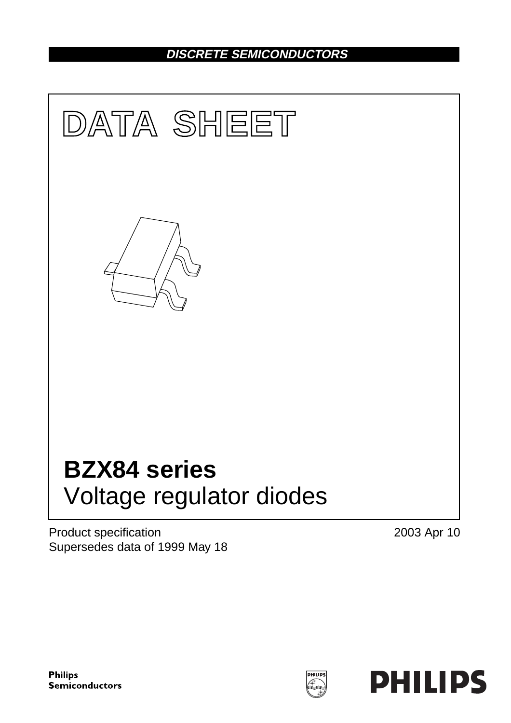# **DISCRETE SEMICONDUCTORS**



Product specification Supersedes data of 1999 May 18 2003 Apr 10

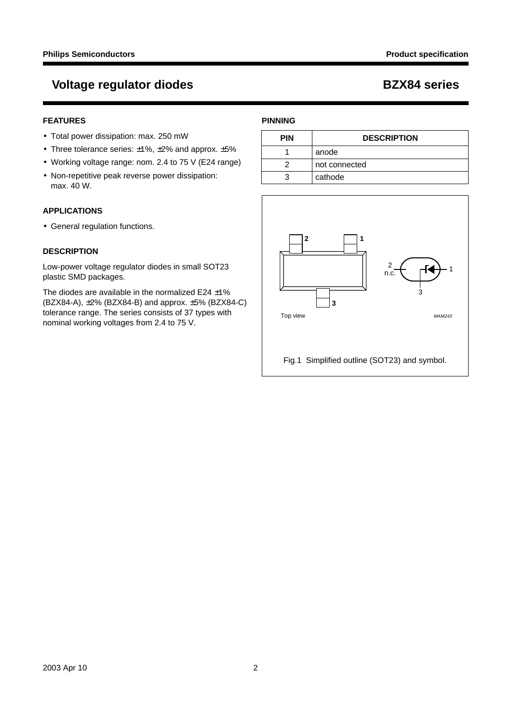# **Voltage regulator diodes BZX84 series**

## **FEATURES**

- Total power dissipation: max. 250 mW
- Three tolerance series:  $\pm 1\%$ ,  $\pm 2\%$  and approx.  $\pm 5\%$
- Working voltage range: nom. 2.4 to 75 V (E24 range)
- Non-repetitive peak reverse power dissipation: max. 40 W.

## **APPLICATIONS**

• General regulation functions.

## **DESCRIPTION**

Low-power voltage regulator diodes in small SOT23 plastic SMD packages.

The diodes are available in the normalized E24  $\pm$ 1% (BZX84-A), ±2% (BZX84-B) and approx. ±5% (BZX84-C) tolerance range. The series consists of 37 types with nominal working voltages from 2.4 to 75 V.

## **PINNING**

| PIN | <b>DESCRIPTION</b> |
|-----|--------------------|
|     | anode              |
|     | not connected      |
|     | cathode            |

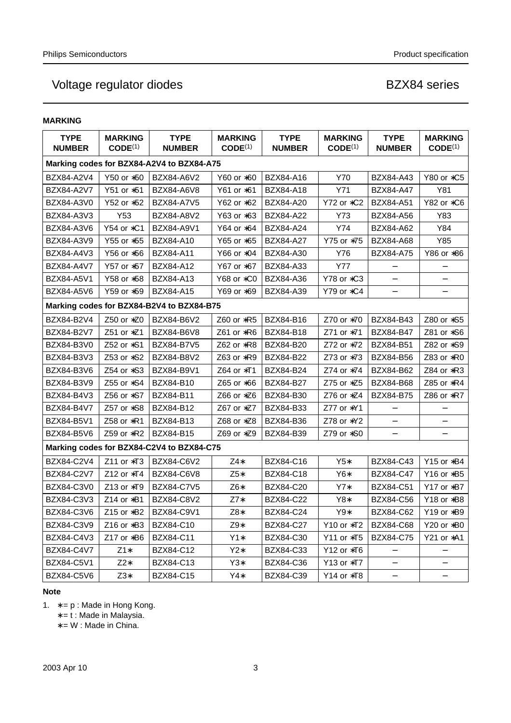## **MARKING**

| <b>TYPE</b><br><b>NUMBER</b> | <b>MARKING</b><br>CODE <sup>(1)</sup> | <b>TYPE</b><br><b>NUMBER</b>              | <b>MARKING</b><br>CODE <sup>(1)</sup> | <b>TYPE</b><br><b>NUMBER</b> | <b>MARKING</b><br>CODE <sup>(1)</sup> | <b>TYPE</b><br><b>NUMBER</b> | <b>MARKING</b><br>CODE <sup>(1)</sup> |
|------------------------------|---------------------------------------|-------------------------------------------|---------------------------------------|------------------------------|---------------------------------------|------------------------------|---------------------------------------|
|                              |                                       | Marking codes for BZX84-A2V4 to BZX84-A75 |                                       |                              |                                       |                              |                                       |
| BZX84-A2V4                   | Y50 or *50                            | BZX84-A6V2                                | Y60 or *60                            | BZX84-A16                    | Y70                                   | BZX84-A43                    | Y80 or *C5                            |
| BZX84-A2V7                   | Y51 or *51                            | BZX84-A6V8                                | Y61 or *61                            | BZX84-A18                    | Y71                                   | <b>BZX84-A47</b>             | Y81                                   |
| BZX84-A3V0                   | Y52 or *52                            | <b>BZX84-A7V5</b>                         | Y62 or *62                            | <b>BZX84-A20</b>             | Y72 or *C2                            | <b>BZX84-A51</b>             | Y82 or *C6                            |
| BZX84-A3V3                   | Y53                                   | BZX84-A8V2                                | Y63 or *63                            | <b>BZX84-A22</b>             | Y73                                   | BZX84-A56                    | Y83                                   |
| BZX84-A3V6                   | Y54 or *C1                            | BZX84-A9V1                                | Y64 or *64                            | <b>BZX84-A24</b>             | Y74                                   | BZX84-A62                    | Y84                                   |
| BZX84-A3V9                   | Y55 or *55                            | <b>BZX84-A10</b>                          | Y65 or *65                            | <b>BZX84-A27</b>             | Y75 or *75                            | <b>BZX84-A68</b>             | Y85                                   |
| BZX84-A4V3                   | Y56 or *56                            | <b>BZX84-A11</b>                          | Y66 or *04                            | <b>BZX84-A30</b>             | Y76                                   | <b>BZX84-A75</b>             | Y86 or *86                            |
| BZX84-A4V7                   | Y57 or *57                            | BZX84-A12                                 | Y67 or *67                            | <b>BZX84-A33</b>             | <b>Y77</b>                            |                              | $\overline{\phantom{0}}$              |
| BZX84-A5V1                   | Y58 or *58                            | BZX84-A13                                 | Y68 or *C0                            | BZX84-A36                    | Y78 or *C3                            |                              |                                       |
| BZX84-A5V6                   | Y59 or *59                            | <b>BZX84-A15</b>                          | Y69 or *69                            | BZX84-A39                    | Y79 or *C4                            | $\qquad \qquad -$            |                                       |
|                              |                                       | Marking codes for BZX84-B2V4 to BZX84-B75 |                                       |                              |                                       |                              |                                       |
| BZX84-B2V4                   | Z50 or *Z0                            | BZX84-B6V2                                | Z60 or *R5                            | BZX84-B16                    | Z70 or *70                            | BZX84-B43                    | Z80 or *S5                            |
| BZX84-B2V7                   | $Z51$ or $*Z1$                        | BZX84-B6V8                                | Z61 or $*R6$                          | BZX84-B18                    | Z71 or *71                            | <b>BZX84-B47</b>             | Z81 or $$6$                           |
| BZX84-B3V0                   | Z52 or *S1                            | <b>BZX84-B7V5</b>                         | Z62 or $*R8$                          | BZX84-B20                    | Z72 or *72                            | BZX84-B51                    | Z82 or *S9                            |
| BZX84-B3V3                   | Z53 or *S2                            | BZX84-B8V2                                | Z63 or *R9                            | <b>BZX84-B22</b>             | Z73 or *73                            | <b>BZX84-B56</b>             | Z83 or $*R0$                          |
| BZX84-B3V6                   | Z54 or *S3                            | BZX84-B9V1                                | Z64 or $*T1$                          | BZX84-B24                    | Z74 or *74                            | BZX84-B62                    | Z84 or *R3                            |
| BZX84-B3V9                   | Z55 or *S4                            | <b>BZX84-B10</b>                          | Z65 or *66                            | <b>BZX84-B27</b>             | Z75 or $*Z5$                          | <b>BZX84-B68</b>             | Z85 or *R4                            |
| BZX84-B4V3                   | Z56 or *S7                            | BZX84-B11                                 | Z66 or *Z6                            | BZX84-B30                    | Z76 or *Z4                            | <b>BZX84-B75</b>             | Z86 or *R7                            |
| BZX84-B4V7                   | Z57 or *S8                            | BZX84-B12                                 | Z67 or *Z7                            | BZX84-B33                    | Z77 or $*Y1$                          |                              |                                       |
| BZX84-B5V1                   | Z58 or *R1                            | BZX84-B13                                 | Z68 or *Z8                            | BZX84-B36                    | Z78 or $*Y2$                          | $\qquad \qquad -$            |                                       |
| BZX84-B5V6                   | Z59 or *R2                            | BZX84-B15                                 | Z69 or *Z9                            | <b>BZX84-B39</b>             | Z79 or $*S0$                          |                              |                                       |
|                              |                                       | Marking codes for BZX84-C2V4 to BZX84-C75 |                                       |                              |                                       |                              |                                       |
| BZX84-C2V4                   | Z11 or *T3                            | BZX84-C6V2                                | Z4*                                   | BZX84-C16                    | $Y5*$                                 | BZX84-C43                    | Y15 or *B4                            |
| BZX84-C2V7                   | Z12 or *T4                            | BZX84-C6V8                                | $Z5*$                                 | <b>BZX84-C18</b>             | Y6*                                   | <b>BZX84-C47</b>             | Y16 or *B5                            |
| BZX84-C3V0                   | $Z$ 13 or $*$ T9                      | <b>BZX84-C7V5</b>                         | Z6*                                   | <b>BZX84-C20</b>             | $Y7*$                                 | <b>BZX84-C51</b>             | Y17 or $*B7$                          |
| BZX84-C3V3                   | Z14 or $*B1$                          | BZX84-C8V2                                | $Z7*$                                 | <b>BZX84-C22</b>             | $Y8*$                                 | BZX84-C56                    | Y18 or *B8                            |
| BZX84-C3V6                   | Z15 or *B2                            | BZX84-C9V1                                | Z8*                                   | <b>BZX84-C24</b>             | Y9*                                   | BZX84-C62                    | Y19 or *B9                            |
| BZX84-C3V9                   | Z16 or $*B3$                          | BZX84-C10                                 | Z9*                                   | <b>BZX84-C27</b>             | Y10 or *T2                            | <b>BZX84-C68</b>             | Y20 or *B0                            |
| BZX84-C4V3                   | Z17 or $*B6$                          | BZX84-C11                                 | Y1*                                   | BZX84-C30                    | Y11 or *T5                            | BZX84-C75                    | Y21 or *A1                            |
| BZX84-C4V7                   | $Z1*$                                 | BZX84-C12                                 | Y2*                                   | BZX84-C33                    | Y12 or $*T6$                          |                              |                                       |
| BZX84-C5V1                   | $Z2*$                                 | BZX84-C13                                 | $Y3*$                                 | BZX84-C36                    | Y13 or *T7                            |                              |                                       |
| BZX84-C5V6                   | $Z3*$                                 | BZX84-C15                                 | Y4*                                   | BZX84-C39                    | Y14 or *T8                            | $\qquad \qquad -$            |                                       |

## **Note**

1.  $* = p$ : Made in Hong Kong.

∗ = t : Made in Malaysia.

∗ = W : Made in China.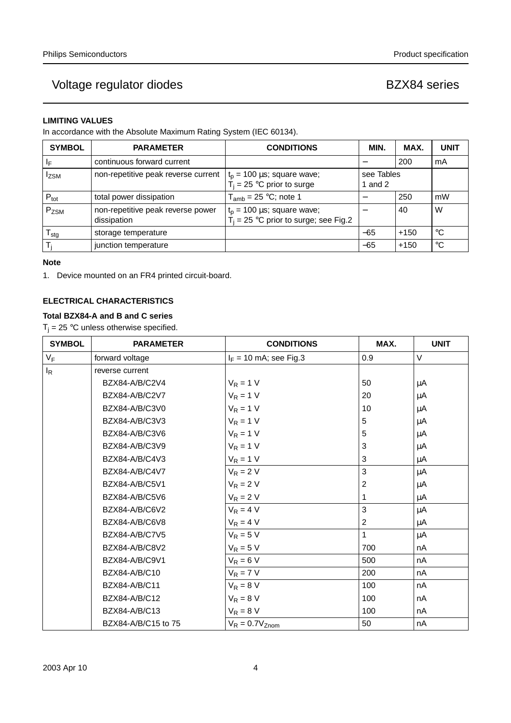## **LIMITING VALUES**

In accordance with the Absolute Maximum Rating System (IEC 60134).

| <b>SYMBOL</b>              | <b>PARAMETER</b>                                 | <b>CONDITIONS</b>                                                           | <b>MIN</b>          | MAX.   | <b>UNIT</b> |
|----------------------------|--------------------------------------------------|-----------------------------------------------------------------------------|---------------------|--------|-------------|
| IF.                        | continuous forward current                       |                                                                             |                     | 200    | mA          |
| <b>Izsm</b>                | non-repetitive peak reverse current              | $t_p = 100 \mu s$ ; square wave;<br>$T_i$ = 25 °C prior to surge            | see Tables<br>and 2 |        |             |
| $P_{\text{tot}}$           | total power dissipation                          | $T_{amb}$ = 25 °C; note 1                                                   |                     | 250    | mW          |
| P <sub>ZSM</sub>           | non-repetitive peak reverse power<br>dissipation | $t_p = 100 \mu s$ ; square wave;<br>$T_i$ = 25 °C prior to surge; see Fig.2 |                     | 40     | W           |
| ${\mathsf T}_{\text{stg}}$ | storage temperature                              |                                                                             | $-65$               | $+150$ | $^{\circ}C$ |
|                            | junction temperature                             |                                                                             | $-65$               | $+150$ | $^{\circ}C$ |

## **Note**

1. Device mounted on an FR4 printed circuit-board.

## **ELECTRICAL CHARACTERISTICS**

## **Total BZX84-A and B and C series**

 $T_j = 25$  °C unless otherwise specified.

| <b>SYMBOL</b> | <b>PARAMETER</b>    | <b>CONDITIONS</b>        | MAX.                      | <b>UNIT</b> |
|---------------|---------------------|--------------------------|---------------------------|-------------|
| $V_F$         | forward voltage     | $I_F = 10$ mA; see Fig.3 | 0.9                       | V           |
| $I_R$         | reverse current     |                          |                           |             |
|               | BZX84-A/B/C2V4      | $V_R = 1 V$              | 50                        | μA          |
|               | BZX84-A/B/C2V7      | $V_R = 1 V$              | 20                        | $\mu$ A     |
|               | BZX84-A/B/C3V0      | $V_R = 1 V$              | 10                        | μA          |
|               | BZX84-A/B/C3V3      | $V_R = 1 V$              | $\,$ 5 $\,$               | μA          |
|               | BZX84-A/B/C3V6      | $V_R = 1 V$              | 5                         | μA          |
|               | BZX84-A/B/C3V9      | $V_R = 1 V$              | 3                         | μA          |
|               | BZX84-A/B/C4V3      | $V_R = 1 V$              | $\ensuremath{\mathsf{3}}$ | μA          |
|               | BZX84-A/B/C4V7      | $V_R = 2 V$              | 3                         | μA          |
|               | BZX84-A/B/C5V1      | $V_R = 2 V$              | $\overline{2}$            | μA          |
|               | BZX84-A/B/C5V6      | $V_R = 2 V$              | 1                         | μA          |
|               | BZX84-A/B/C6V2      | $V_R = 4 V$              | 3                         | μA          |
|               | BZX84-A/B/C6V8      | $V_R = 4 V$              | $\overline{c}$            | μA          |
|               | BZX84-A/B/C7V5      | $V_R = 5 V$              | $\mathbf{1}$              | μA          |
|               | BZX84-A/B/C8V2      | $V_R = 5 V$              | 700                       | nA          |
|               | BZX84-A/B/C9V1      | $V_R = 6 V$              | 500                       | nA          |
|               | BZX84-A/B/C10       | $V_R = 7 V$              | 200                       | nA          |
|               | BZX84-A/B/C11       | $V_R = 8 V$              | 100                       | nA          |
|               | BZX84-A/B/C12       | $V_R = 8 V$              | 100                       | nA          |
|               | BZX84-A/B/C13       | $V_R = 8 V$              | 100                       | nA          |
|               | BZX84-A/B/C15 to 75 | $V_R = 0.7V_{Znom}$      | 50                        | nA          |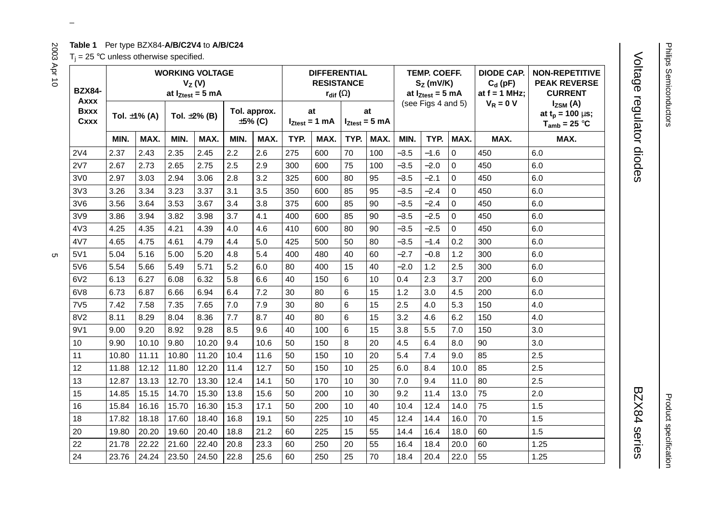## **Table 1** Per type BZX84-**A/B/C2V4** to **A/B/C24**

 $T_i = 25$  °C unless otherwise specified.

| <b>BZX84-</b>               | <b>WORKING VOLTAGE</b><br>$V_Z(V)$<br>at $I_{Ztest} = 5$ mA |                    |       |                    |      |                               | <b>DIFFERENTIAL</b><br><b>RESISTANCE</b><br>$r_{\text{dif}}(\Omega)$ |                          |                | <b>TEMP. COEFF.</b><br>$SZ$ (mV/K)<br>at $I_{Ztest} = 5$ mA |        |                    | <b>DIODE CAP.</b><br>$C_d$ (pF)<br>at $f = 1$ MHz; | <b>NON-REPETITIVE</b><br><b>PEAK REVERSE</b><br><b>CURRENT</b> |                                                              |
|-----------------------------|-------------------------------------------------------------|--------------------|-------|--------------------|------|-------------------------------|----------------------------------------------------------------------|--------------------------|----------------|-------------------------------------------------------------|--------|--------------------|----------------------------------------------------|----------------------------------------------------------------|--------------------------------------------------------------|
| Axxx<br><b>Bxxx</b><br>Cxxx |                                                             | Tol. $\pm 1\%$ (A) |       | Tol. $\pm 2\%$ (B) |      | Tol. approx.<br>$\pm 5\%$ (C) |                                                                      | at<br>$I_{Ztest} = 1$ mA |                | at<br>$I_{Ztest} = 5$ mA                                    |        | (see Figs 4 and 5) |                                                    | $V_R = 0 V$                                                    | $I_{ZSM}$ (A)<br>at $t_p = 100 \mu s$ ;<br>$T_{amb} = 25 °C$ |
|                             | MIN.                                                        | MAX.               | MIN.  | MAX.               | MIN. | MAX.                          | TYP.                                                                 | MAX.                     | TYP.           | MAX.                                                        | MIN.   | TYP.               | MAX.                                               | MAX.                                                           | MAX.                                                         |
| 2V4                         | 2.37                                                        | 2.43               | 2.35  | 2.45               | 2.2  | 2.6                           | 275                                                                  | 600                      | 70             | 100                                                         | $-3.5$ | $-1.6$             | $\Omega$                                           | 450                                                            | 6.0                                                          |
| 2V7                         | 2.67                                                        | 2.73               | 2.65  | 2.75               | 2.5  | 2.9                           | 300                                                                  | 600                      | 75             | 100                                                         | $-3.5$ | $-2.0$             | $\Omega$                                           | 450                                                            | 6.0                                                          |
| 3V0                         | 2.97                                                        | 3.03               | 2.94  | 3.06               | 2.8  | 3.2                           | 325                                                                  | 600                      | 80             | 95                                                          | $-3.5$ | $-2.1$             | $\Omega$                                           | 450                                                            | 6.0                                                          |
| 3V <sub>3</sub>             | 3.26                                                        | 3.34               | 3.23  | 3.37               | 3.1  | 3.5                           | 350                                                                  | 600                      | 85             | 95                                                          | $-3.5$ | $-2.4$             | $\Omega$                                           | 450                                                            | 6.0                                                          |
| 3V6                         | 3.56                                                        | 3.64               | 3.53  | 3.67               | 3.4  | 3.8                           | 375                                                                  | 600                      | 85             | 90                                                          | $-3.5$ | $-2.4$             | $\Omega$                                           | 450                                                            | 6.0                                                          |
| 3V9                         | 3.86                                                        | 3.94               | 3.82  | 3.98               | 3.7  | 4.1                           | 400                                                                  | 600                      | 85             | 90                                                          | $-3.5$ | $-2.5$             | $\Omega$                                           | 450                                                            | 6.0                                                          |
| 4V3                         | 4.25                                                        | 4.35               | 4.21  | 4.39               | 4.0  | 4.6                           | 410                                                                  | 600                      | 80             | 90                                                          | $-3.5$ | $-2.5$             | $\Omega$                                           | 450                                                            | 6.0                                                          |
| 4V7                         | 4.65                                                        | 4.75               | 4.61  | 4.79               | 4.4  | 5.0                           | 425                                                                  | 500                      | 50             | 80                                                          | $-3.5$ | $-1.4$             | 0.2                                                | 300                                                            | 6.0                                                          |
| 5V1                         | 5.04                                                        | 5.16               | 5.00  | 5.20               | 4.8  | 5.4                           | 400                                                                  | 480                      | 40             | 60                                                          | $-2.7$ | $-0.8$             | 1.2                                                | 300                                                            | 6.0                                                          |
| 5V6                         | 5.54                                                        | 5.66               | 5.49  | 5.71               | 5.2  | 6.0                           | 80                                                                   | 400                      | 15             | 40                                                          | $-2.0$ | 1.2                | 2.5                                                | 300                                                            | 6.0                                                          |
| 6V2                         | 6.13                                                        | 6.27               | 6.08  | 6.32               | 5.8  | 6.6                           | 40                                                                   | 150                      | 6              | 10                                                          | 0.4    | 2.3                | 3.7                                                | 200                                                            | 6.0                                                          |
| 6V8                         | 6.73                                                        | 6.87               | 6.66  | 6.94               | 6.4  | 7.2                           | 30                                                                   | 80                       | $6\phantom{1}$ | 15                                                          | 1.2    | 3.0                | 4.5                                                | 200                                                            | 6.0                                                          |
| 7V <sub>5</sub>             | 7.42                                                        | 7.58               | 7.35  | 7.65               | 7.0  | 7.9                           | 30                                                                   | 80                       | 6              | 15                                                          | 2.5    | 4.0                | 5.3                                                | 150                                                            | 4.0                                                          |
| 8V2                         | 8.11                                                        | 8.29               | 8.04  | 8.36               | 7.7  | 8.7                           | 40                                                                   | 80                       | 6              | 15                                                          | 3.2    | 4.6                | 6.2                                                | 150                                                            | 4.0                                                          |
| 9V1                         | 9.00                                                        | 9.20               | 8.92  | 9.28               | 8.5  | 9.6                           | 40                                                                   | 100                      | $6\phantom{1}$ | 15                                                          | 3.8    | 5.5                | 7.0                                                | 150                                                            | 3.0                                                          |
| 10                          | 9.90                                                        | 10.10              | 9.80  | 10.20              | 9.4  | 10.6                          | 50                                                                   | 150                      | 8              | 20                                                          | 4.5    | 6.4                | 8.0                                                | 90                                                             | 3.0                                                          |
| 11                          | 10.80                                                       | 11.11              | 10.80 | 11.20              | 10.4 | 11.6                          | 50                                                                   | 150                      | 10             | 20                                                          | 5.4    | 7.4                | 9.0                                                | 85                                                             | 2.5                                                          |
| 12                          | 11.88                                                       | 12.12              | 11.80 | 12.20              | 11.4 | 12.7                          | 50                                                                   | 150                      | 10             | 25                                                          | 6.0    | 8.4                | 10.0                                               | 85                                                             | 2.5                                                          |
| 13                          | 12.87                                                       | 13.13              | 12.70 | 13.30              | 12.4 | 14.1                          | 50                                                                   | 170                      | 10             | 30                                                          | 7.0    | 9.4                | 11.0                                               | 80                                                             | 2.5                                                          |
| 15                          | 14.85                                                       | 15.15              | 14.70 | 15.30              | 13.8 | 15.6                          | 50                                                                   | 200                      | 10             | 30                                                          | 9.2    | 11.4               | 13.0                                               | 75                                                             | 2.0                                                          |
| 16                          | 15.84                                                       | 16.16              | 15.70 | 16.30              | 15.3 | 17.1                          | 50                                                                   | 200                      | 10             | 40                                                          | 10.4   | 12.4               | 14.0                                               | 75                                                             | 1.5                                                          |
| 18                          | 17.82                                                       | 18.18              | 17.60 | 18.40              | 16.8 | 19.1                          | 50                                                                   | 225                      | 10             | 45                                                          | 12.4   | 14.4               | 16.0                                               | 70                                                             | 1.5                                                          |
| 20                          | 19.80                                                       | 20.20              | 19.60 | 20.40              | 18.8 | 21.2                          | 60                                                                   | 225                      | 15             | 55                                                          | 14.4   | 16.4               | 18.0                                               | 60                                                             | 1.5                                                          |
| 22                          | 21.78                                                       | 22.22              | 21.60 | 22.40              | 20.8 | 23.3                          | 60                                                                   | 250                      | 20             | 55                                                          | 16.4   | 18.4               | 20.0                                               | 60                                                             | 1.25                                                         |
| 24                          | 23.76                                                       | 24.24              | 23.50 | 24.50              | 22.8 | 25.6                          | 60                                                                   | 250                      | 25             | 70                                                          | 18.4   | 20.4               | 22.0                                               | 55                                                             | 1.25                                                         |

 $\omega$  rotated correctly when browsing through the pdf in the Acrobat reader.This text is here in the pdf in the  $\alpha$ 

# Voltage regulator diodes Voltage regulator diodes BZX84 series

BZX84 series

Product specification

Product specification

2003 Apr 10  $\frac{2003}{1000}$ S

2003 Apr 10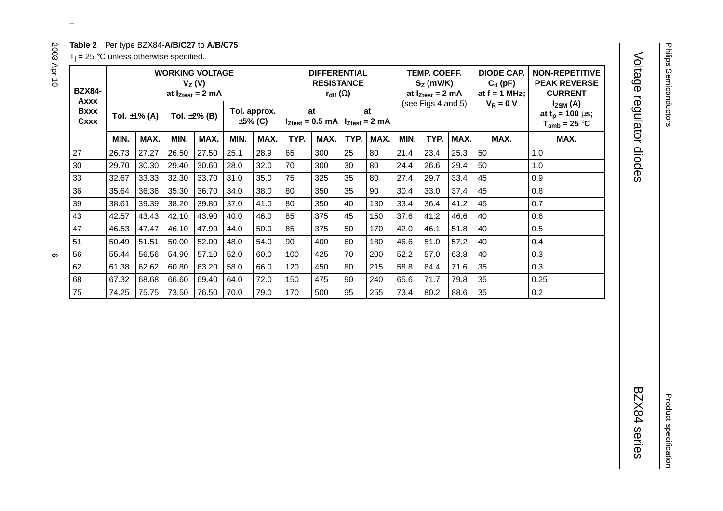## **Table 2** Per type BZX84-**A/B/C27** to **A/B/C75**

 $T_i = 25$  °C unless otherwise specified.

| <b>BZX84-</b><br>Axxx | <b>WORKING VOLTAGE</b><br>$V_Z(V)$<br>at $I_{Ztest} = 2$ mA |                   |       |                    |                         |      | <b>DIFFERENTIAL</b><br><b>RESISTANCE</b><br>$r_{\text{dif}}\left(\Omega\right)$ |      |                          |      | <b>TEMP. COEFF.</b><br>$S_Z$ (mV/K)<br>at $I_{Ztest} = 2$ mA<br>(see Figs 4 and 5) |      |      | <b>DIODE CAP.</b><br>$C_d$ (pF)<br>at $f = 1$ MHz;<br>$V_R = 0 V$ | <b>NON-REPETITIVE</b><br><b>PEAK REVERSE</b><br><b>CURRENT</b><br>$I_{ZSM}$ (A) |
|-----------------------|-------------------------------------------------------------|-------------------|-------|--------------------|-------------------------|------|---------------------------------------------------------------------------------|------|--------------------------|------|------------------------------------------------------------------------------------|------|------|-------------------------------------------------------------------|---------------------------------------------------------------------------------|
| <b>Bxxx</b><br>Cxxx   |                                                             | Tol. $\pm$ 1% (A) |       | Tol. $\pm 2\%$ (B) | Tol. approx.<br>±5% (C) |      | at<br>$I_{Ztest}$ = 0.5 mA                                                      |      | at<br>$I_{Ztest} = 2 mA$ |      |                                                                                    |      |      |                                                                   | at $t_p = 100 \mu s$ ;<br>$T_{amb}$ = 25 °C                                     |
|                       | MIN.                                                        | MAX.              | MIN.  | MAX.               | MIN.                    | MAX. | TYP.                                                                            | MAX. | TYP.                     | MAX. | MIN.                                                                               | TYP. | MAX. | MAX.                                                              | MAX.                                                                            |
| 27                    | 26.73                                                       | 27.27             | 26.50 | 27.50              | 25.1                    | 28.9 | 65                                                                              | 300  | 25                       | 80   | 21.4                                                                               | 23.4 | 25.3 | 50                                                                | 1.0                                                                             |
| 30                    | 29.70                                                       | 30.30             | 29.40 | 30.60              | 28.0                    | 32.0 | 70                                                                              | 300  | 30                       | 80   | 24.4                                                                               | 26.6 | 29.4 | 50                                                                | 1.0                                                                             |
| 33                    | 32.67                                                       | 33.33             | 32.30 | 33.70              | 31.0                    | 35.0 | 75                                                                              | 325  | 35                       | 80   | 27.4                                                                               | 29.7 | 33.4 | 45                                                                | 0.9                                                                             |
| 36                    | 35.64                                                       | 36.36             | 35.30 | 36.70              | 34.0                    | 38.0 | 80                                                                              | 350  | 35                       | 90   | 30.4                                                                               | 33.0 | 37.4 | 45                                                                | 0.8                                                                             |
| 39                    | 38.61                                                       | 39.39             | 38.20 | 39.80              | 37.0                    | 41.0 | 80                                                                              | 350  | 40                       | 130  | 33.4                                                                               | 36.4 | 41.2 | 45                                                                | 0.7                                                                             |
| 43                    | 42.57                                                       | 43.43             | 42.10 | 43.90              | 40.0                    | 46.0 | 85                                                                              | 375  | 45                       | 150  | 37.6                                                                               | 41.2 | 46.6 | 40                                                                | 0.6                                                                             |
| 47                    | 46.53                                                       | 47.47             | 46.10 | 47.90              | 44.0                    | 50.0 | 85                                                                              | 375  | 50                       | 170  | 42.0                                                                               | 46.1 | 51.8 | 40                                                                | 0.5                                                                             |
| 51                    | 50.49                                                       | 51.51             | 50.00 | 52.00              | 48.0                    | 54.0 | 90                                                                              | 400  | 60                       | 180  | 46.6                                                                               | 51.0 | 57.2 | 40                                                                | 0.4                                                                             |
| 56                    | 55.44                                                       | 56.56             | 54.90 | 57.10              | 52.0                    | 60.0 | 100                                                                             | 425  | 70                       | 200  | 52.2                                                                               | 57.0 | 63.8 | 40                                                                | 0.3                                                                             |
| 62                    | 61.38                                                       | 62.62             | 60.80 | 63.20              | 58.0                    | 66.0 | 120                                                                             | 450  | 80                       | 215  | 58.8                                                                               | 64.4 | 71.6 | 35                                                                | 0.3                                                                             |
| 68                    | 67.32                                                       | 68.68             | 66.60 | 69.40              | 64.0                    | 72.0 | 150                                                                             | 475  | 90                       | 240  | 65.6                                                                               | 71.7 | 79.8 | 35                                                                | 0.25                                                                            |
| 75                    | 74.25                                                       | 75.75             | 73.50 | 76.50              | 70.0                    | 79.0 | 170                                                                             | 500  | 95                       | 255  | 73.4                                                                               | 80.2 | 88.6 | 35                                                                | 0.2                                                                             |

 $\omega$  rotated correctly when browsing through the pdf in the Acrobat reader.This text is here in the pdf in the  $\alpha$ 

Voltage regulator diodes

Voltage regulator diodes BZX84 series BZX84 series

Product specification

Product specification

2003 Apr 10 6  $\circ$ 

2003 Apr 10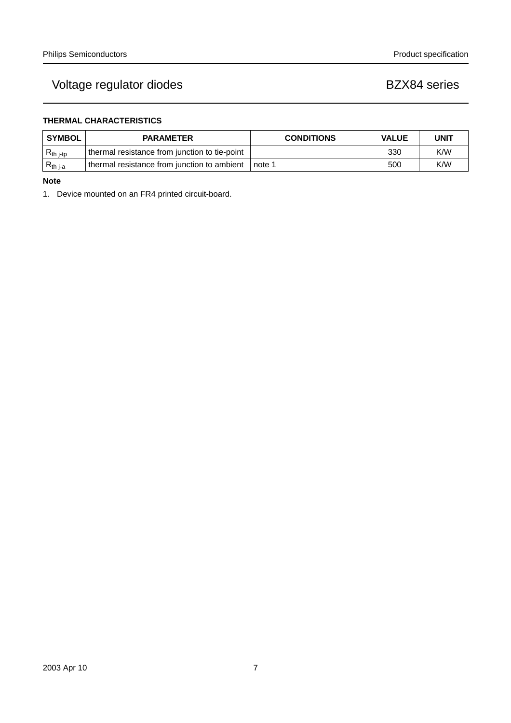## **THERMAL CHARACTERISTICS**

| <b>SYMBOL</b>  | <b>PARAMETER</b>                              | <b>CONDITIONS</b> | <b>VALUE</b> | <b>UNIT</b> |
|----------------|-----------------------------------------------|-------------------|--------------|-------------|
| $R_{th\ j-tp}$ | thermal resistance from junction to tie-point |                   | 330          | K/W         |
| $R_{th,i-a}$   | thermal resistance from junction to ambient   | note 1            | 500          | K/W         |

## **Note**

1. Device mounted on an FR4 printed circuit-board.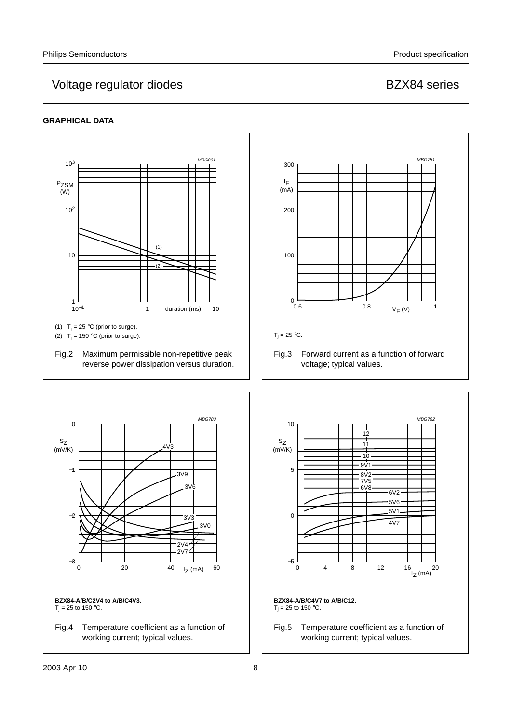## **GRAPHICAL DATA**

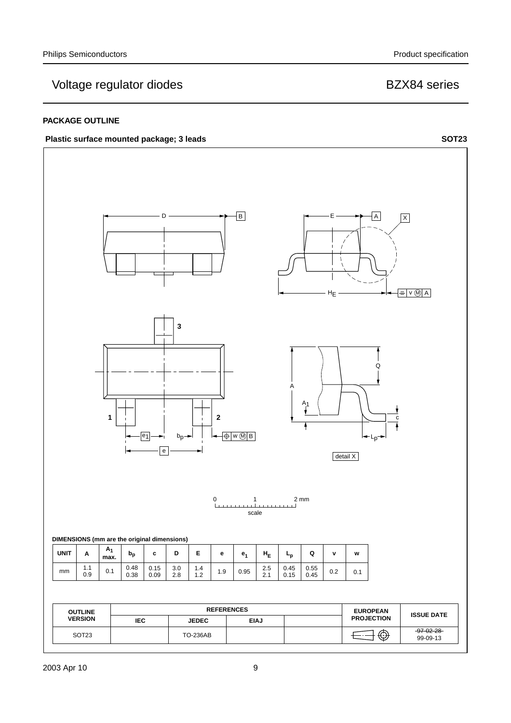## **PACKAGE OUTLINE**



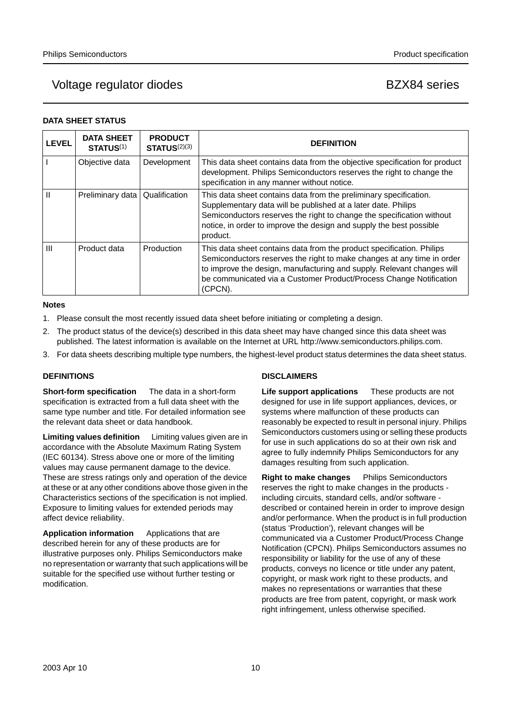## Voltage regulator diodes and the BZX84 series

## **DATA SHEET STATUS**

| <b>LEVEL</b>   | <b>DATA SHEET</b><br><b>STATUS(1)</b> | <b>PRODUCT</b><br>STATUS <sup>(2)(3)</sup> | <b>DEFINITION</b>                                                                                                                                                                                                                                                                                          |
|----------------|---------------------------------------|--------------------------------------------|------------------------------------------------------------------------------------------------------------------------------------------------------------------------------------------------------------------------------------------------------------------------------------------------------------|
|                | Objective data                        | Development                                | This data sheet contains data from the objective specification for product<br>development. Philips Semiconductors reserves the right to change the<br>specification in any manner without notice.                                                                                                          |
| Ш              | Preliminary data                      | Qualification                              | This data sheet contains data from the preliminary specification.<br>Supplementary data will be published at a later date. Philips<br>Semiconductors reserves the right to change the specification without<br>notice, in order to improve the design and supply the best possible<br>product.             |
| $\mathbf{III}$ | Product data                          | Production                                 | This data sheet contains data from the product specification. Philips<br>Semiconductors reserves the right to make changes at any time in order<br>to improve the design, manufacturing and supply. Relevant changes will<br>be communicated via a Customer Product/Process Change Notification<br>(CPCN). |

## **Notes**

- 1. Please consult the most recently issued data sheet before initiating or completing a design.
- 2. The product status of the device(s) described in this data sheet may have changed since this data sheet was published. The latest information is available on the Internet at URL http://www.semiconductors.philips.com.
- 3. For data sheets describing multiple type numbers, the highest-level product status determines the data sheet status.

## **DEFINITIONS**

**Short-form specification** — The data in a short-form specification is extracted from a full data sheet with the same type number and title. For detailed information see the relevant data sheet or data handbook.

**Limiting values definition** - Limiting values given are in accordance with the Absolute Maximum Rating System (IEC 60134). Stress above one or more of the limiting values may cause permanent damage to the device. These are stress ratings only and operation of the device at these or at any other conditions above those given in the Characteristics sections of the specification is not implied. Exposure to limiting values for extended periods may affect device reliability.

Application information Applications that are described herein for any of these products are for illustrative purposes only. Philips Semiconductors make no representation or warranty that such applications will be suitable for the specified use without further testing or modification.

## **DISCLAIMERS**

**Life support applications** — These products are not designed for use in life support appliances, devices, or systems where malfunction of these products can reasonably be expected to result in personal injury. Philips Semiconductors customers using or selling these products for use in such applications do so at their own risk and agree to fully indemnify Philips Semiconductors for any damages resulting from such application.

**Right to make changes** - Philips Semiconductors reserves the right to make changes in the products including circuits, standard cells, and/or software described or contained herein in order to improve design and/or performance. When the product is in full production (status 'Production'), relevant changes will be communicated via a Customer Product/Process Change Notification (CPCN). Philips Semiconductors assumes no responsibility or liability for the use of any of these products, conveys no licence or title under any patent, copyright, or mask work right to these products, and makes no representations or warranties that these products are free from patent, copyright, or mask work right infringement, unless otherwise specified.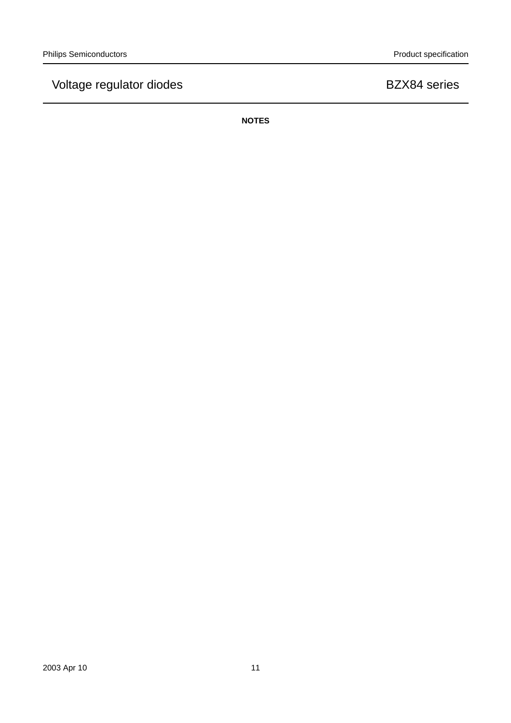**NOTES**